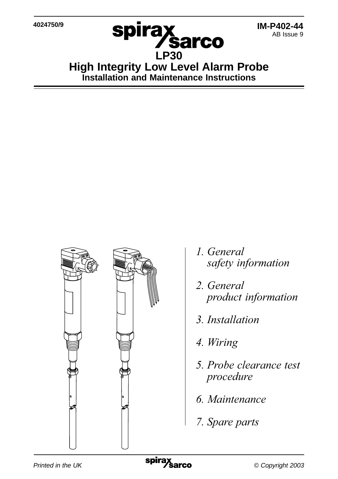**4024750/9**



# **spirax**<br>LP30 **High Integrity Low Level Alarm Probe Installation and Maintenance Instructions**



- 1. General safety information
- 2. General
- 3. Installation
- 4. Wiring
- 5. Probe clearance test procedure
- 6. Maintenance
- 7. Spare parts

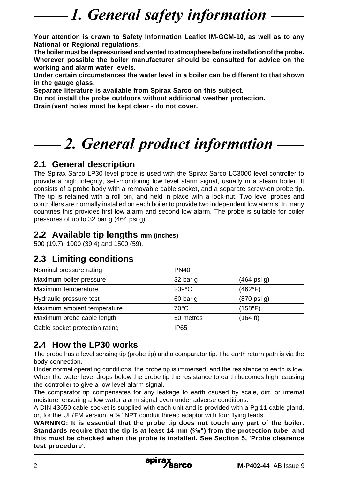## 1. General safety information

**Your attention is drawn to Safety Information Leaflet IM-GCM-10, as well as to any National or Regional regulations.**

**The boiler must be depressurised and vented to atmosphere before installation of the probe. Wherever possible the boiler manufacturer should be consulted for advice on the working and alarm water levels.**

**Under certain circumstances the water level in a boiler can be different to that shown in the gauge glass.**

**Separate literature is available from Spirax Sarco on this subject.**

**Do not install the probe outdoors without additional weather protection.**

**Drain/vent holes must be kept clear - do not cover.**

## 2. General product information

### **2.1 General description**

The Spirax Sarco LP30 level probe is used with the Spirax Sarco LC3000 level controller to provide a high integrity, self-monitoring low level alarm signal, usually in a steam boiler. It consists of a probe body with a removable cable socket, and a separate screw-on probe tip. The tip is retained with a roll pin, and held in place with a lock-nut. Two level probes and controllers are normally installed on each boiler to provide two independent low alarms. In many countries this provides first low alarm and second low alarm. The probe is suitable for boiler pressures of up to 32 bar g (464 psi g).

### **2.2 Available tip lengths mm (inches)**

500 (19.7), 1000 (39.4) and 1500 (59).

### **2.3 Limiting conditions**

| Nominal pressure rating        | <b>PN40</b>     |                        |
|--------------------------------|-----------------|------------------------|
| Maximum boiler pressure        | 32 bar q        | (464 psi g)            |
| Maximum temperature            | $239^{\circ}$ C | $(462^{\circ}F)$       |
| Hydraulic pressure test        | 60 bar g        | $(870 \text{ psi } q)$ |
| Maximum ambient temperature    | $70^{\circ}$ C  | (158°F)                |
| Maximum probe cable length     | 50 metres       | (164 ft)               |
| Cable socket protection rating | IP65            |                        |

## **2.4 How the LP30 works**

The probe has a level sensing tip (probe tip) and a comparator tip. The earth return path is via the body connection.

Under normal operating conditions, the probe tip is immersed, and the resistance to earth is low. When the water level drops below the probe tip the resistance to earth becomes high, causing the controller to give a low level alarm signal.

The comparator tip compensates for any leakage to earth caused by scale, dirt, or internal moisture, ensuring a low water alarm signal even under adverse conditions.

A DIN 43650 cable socket is supplied with each unit and is provided with a Pg 11 cable gland, or, for the UL/FM version, a **½**" NPT conduit thread adaptor with four flying leads.

**WARNING: It is essential that the probe tip does not touch any part of the boiler. Standards require that the tip is at least 14 mm (") from the protection tube, and this must be checked when the probe is installed. See Section 5, 'Probe clearance test procedure'.**

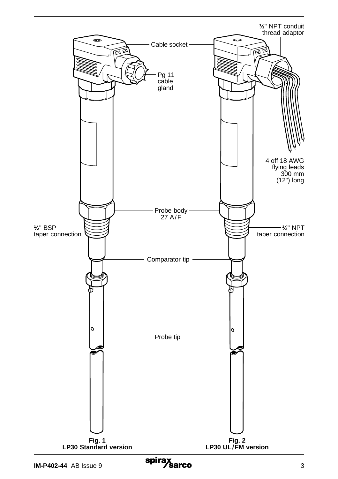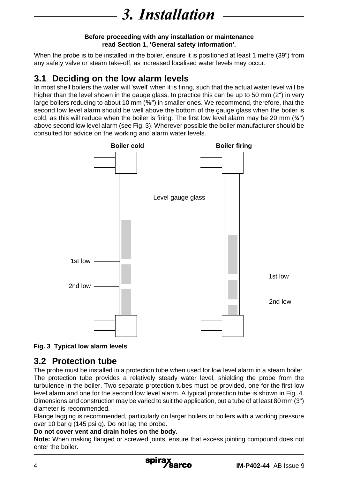## 3. Installation

#### **Before proceeding with any installation or maintenance read Section 1, 'General safety information'.**

When the probe is to be installed in the boiler, ensure it is positioned at least 1 metre (39") from any safety valve or steam take-off, as increased localised water levels may occur.

## **3.1 Deciding on the low alarm levels**

In most shell boilers the water will 'swell' when it is firing, such that the actual water level will be higher than the level shown in the gauge glass. In practice this can be up to 50 mm (2") in very large boilers reducing to about 10 mm  $(36")$  in smaller ones. We recommend, therefore, that the second low level alarm should be well above the bottom of the gauge glass when the boiler is cold, as this will reduce when the boiler is firing. The first low level alarm may be 20 mm (**¾**") above second low level alarm (see Fig. 3). Wherever possible the boiler manufacturer should be consulted for advice on the working and alarm water levels.





### **3.2 Protection tube**

The probe must be installed in a protection tube when used for low level alarm in a steam boiler. The protection tube provides a relatively steady water level, shielding the probe from the turbulence in the boiler. Two separate protection tubes must be provided, one for the first low level alarm and one for the second low level alarm. A typical protection tube is shown in Fig. 4. Dimensions and construction may be varied to suit the application, but a tube of at least 80 mm (3") diameter is recommended.

Flange lagging is recommended, particularly on larger boilers or boilers with a working pressure over 10 bar g (145 psi g). Do not lag the probe.

#### **Do not cover vent and drain holes on the body.**

**Note:** When making flanged or screwed joints, ensure that excess jointing compound does not enter the boiler.

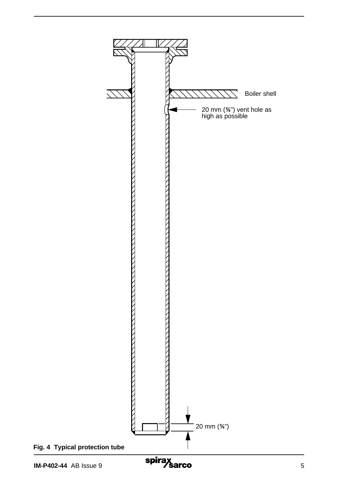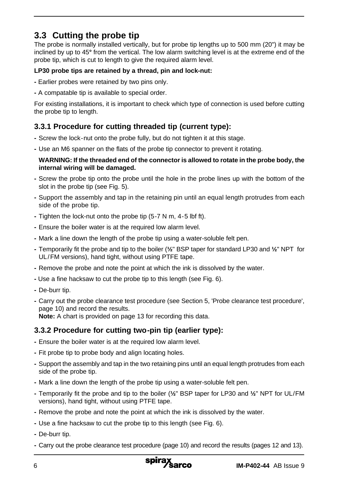## **3.3 Cutting the probe tip**

The probe is normally installed vertically, but for probe tip lengths up to 500 mm (20") it may be inclined by up to 45**°** from the vertical. The low alarm switching level is at the extreme end of the probe tip, which is cut to length to give the required alarm level.

#### **LP30 probe tips are retained by a thread, pin and lock-nut:**

- **-** Earlier probes were retained by two pins only.
- **-** A compatable tip is available to special order.

For existing installations, it is important to check which type of connection is used before cutting the probe tip to length.

### **3.3.1 Procedure for cutting threaded tip (current type):**

- **-** Screw the lock-nut onto the probe fully, but do not tighten it at this stage.
- **-** Use an M6 spanner on the flats of the probe tip connector to prevent it rotating.

#### **WARNING: If the threaded end of the connector is allowed to rotate in the probe body, the internal wiring will be damaged.**

- **-** Screw the probe tip onto the probe until the hole in the probe lines up with the bottom of the slot in the probe tip (see Fig. 5).
- **-** Support the assembly and tap in the retaining pin until an equal length protrudes from each side of the probe tip.
- **-** Tighten the lock-nut onto the probe tip (5-7 N m, 4-5 lbf ft).
- **-** Ensure the boiler water is at the required low alarm level.
- **-** Mark a line down the length of the probe tip using a water-soluble felt pen.
- **-** Temporarily fit the probe and tip to the boiler (**½**" BSP taper for standard LP30 and **½**" NPT for UL/FM versions), hand tight, without using PTFE tape.
- **-** Remove the probe and note the point at which the ink is dissolved by the water.
- **-** Use a fine hacksaw to cut the probe tip to this length (see Fig. 6).
- **-** De-burr tip.
- **-** Carry out the probe clearance test procedure (see Section 5, 'Probe clearance test procedure', page 10) and record the results.

**Note:** A chart is provided on page 13 for recording this data.

#### **3.3.2 Procedure for cutting two-pin tip (earlier type):**

- **-** Ensure the boiler water is at the required low alarm level.
- **-** Fit probe tip to probe body and align locating holes.
- **-** Support the assembly and tap in the two retaining pins until an equal length protrudes from each side of the probe tip.
- **-** Mark a line down the length of the probe tip using a water-soluble felt pen.
- **-** Temporarily fit the probe and tip to the boiler (**½**" BSP taper for LP30 and **½**" NPT for UL/FM versions), hand tight, without using PTFE tape.
- **-** Remove the probe and note the point at which the ink is dissolved by the water.
- **-** Use a fine hacksaw to cut the probe tip to this length (see Fig. 6).
- **-** De-burr tip.
- **-** Carry out the probe clearance test procedure (page 10) and record the results (pages 12 and 13).

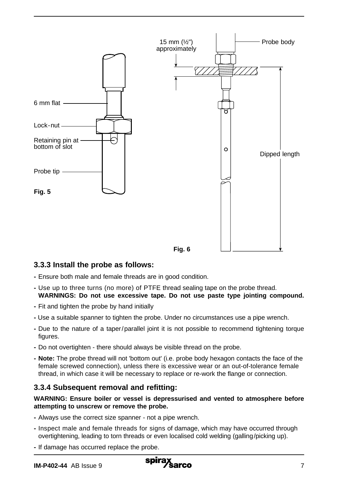

#### **3.3.3 Install the probe as follows:**

- **-** Ensure both male and female threads are in good condition.
- **-** Use up to three turns (no more) of PTFE thread sealing tape on the probe thread. **WARNINGS: Do not use excessive tape. Do not use paste type jointing compound.**
- **-** Fit and tighten the probe by hand initially
- **-** Use a suitable spanner to tighten the probe. Under no circumstances use a pipe wrench.
- **-** Due to the nature of a taper/parallel joint it is not possible to recommend tightening torque figures.
- **-** Do not overtighten there should always be visible thread on the probe.
- **Note:** The probe thread will not 'bottom out' (i.e. probe body hexagon contacts the face of the female screwed connection), unless there is excessive wear or an out-of-tolerance female thread, in which case it will be necessary to replace or re-work the flange or connection.

#### **3.3.4 Subsequent removal and refitting:**

#### **WARNING: Ensure boiler or vessel is depressurised and vented to atmosphere before attempting to unscrew or remove the probe.**

- **-** Always use the correct size spanner not a pipe wrench.
- **-** Inspect male and female threads for signs of damage, which may have occurred through overtightening, leading to torn threads or even localised cold welding (galling/picking up).
- **-** If damage has occurred replace the probe.

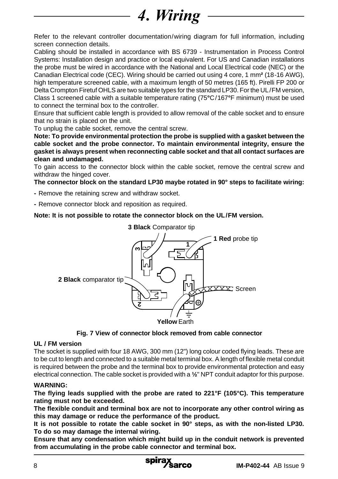

Refer to the relevant controller documentation/wiring diagram for full information, including screen connection details.

Cabling should be installed in accordance with BS 6739 - Instrumentation in Process Control Systems: Installation design and practice or local equivalent. For US and Canadian installations the probe must be wired in accordance with the National and Local Electrical code (NEC) or the Canadian Electrical code (CEC). Wiring should be carried out using 4 core, 1 mm**²** (18-16 AWG), high temperature screened cable, with a maximum length of 50 metres (165 ft). Pirelli FP 200 or Delta Crompton Firetuf OHLS are two suitable types for the standard LP30. For the UL/FM version, Class 1 screened cable with a suitable temperature rating (75**°**C/167**°**F minimum) must be used to connect the terminal box to the controller.

Ensure that sufficient cable length is provided to allow removal of the cable socket and to ensure that no strain is placed on the unit.

To unplug the cable socket, remove the central screw.

**Note: To provide environmental protection the probe is supplied with a gasket between the cable socket and the probe connector. To maintain environmental integrity, ensure the gasket is always present when reconnecting cable socket and that all contact surfaces are clean and undamaged.**

To gain access to the connector block within the cable socket, remove the central screw and withdraw the hinged cover.

#### **The connector block on the standard LP30 maybe rotated in 90° steps to facilitate wiring:**

**-** Remove the retaining screw and withdraw socket.

**-** Remove connector block and reposition as required.

**Note: It is not possible to rotate the connector block on the UL/FM version.**



**Fig. 7 View of connector block removed from cable connector**

#### **UL / FM version**

The socket is supplied with four 18 AWG, 300 mm (12") long colour coded flying leads. These are to be cut to length and connected to a suitable metal terminal box. A length of flexible metal conduit is required between the probe and the terminal box to provide environmental protection and easy electrical connection. The cable socket is provided with a **½**" NPT conduit adaptor for this purpose.

#### **WARNING:**

**The flying leads supplied with the probe are rated to 221°F (105°C). This temperature rating must not be exceeded.**

**The flexible conduit and terminal box are not to incorporate any other control wiring as this may damage or reduce the performance of the product.**

**It is not possible to rotate the cable socket in 90° steps, as with the non-listed LP30. To do so may damage the internal wiring.**

**Ensure that any condensation which might build up in the conduit network is prevented from accumulating in the probe cable connector and terminal box.**

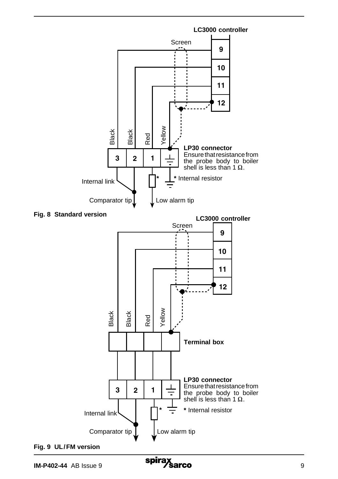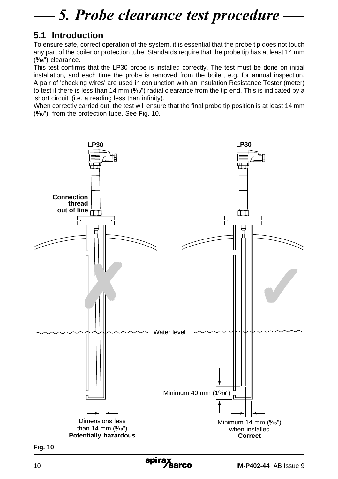## 5. Probe clearance test procedure

## **5.1 Introduction**

To ensure safe, correct operation of the system, it is essential that the probe tip does not touch any part of the boiler or protection tube. Standards require that the probe tip has at least 14 mm  $(*)$  clearance.

This test confirms that the LP30 probe is installed correctly. The test must be done on initial installation, and each time the probe is removed from the boiler, e.g. for annual inspection. A pair of 'checking wires' are used in conjunction with an Insulation Resistance Tester (meter) to test if there is less than 14 mm (%s") radial clearance from the tip end. This is indicated by a 'short circuit' (i.e. a reading less than infinity).

When correctly carried out, the test will ensure that the final probe tip position is at least 14 mm (%6") from the protection tube. See Fig. 10.

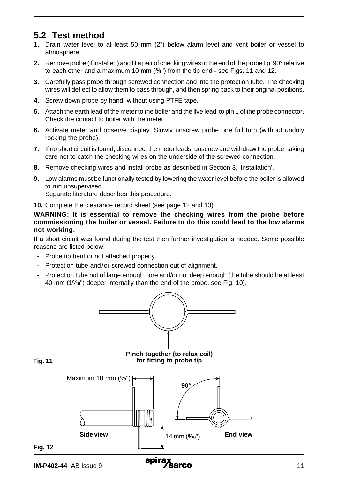## **5.2 Test method**

- **1.** Drain water level to at least 50 mm (2") below alarm level and vent boiler or vessel to atmosphere.
- **2.** Remove probe (if installed) and fit a pair of checking wires to the end of the probe tip, 90**°** relative to each other and a maximum 10 mm  $(3/8)$  from the tip end - see Figs. 11 and 12.
- **3.** Carefully pass probe through screwed connection and into the protection tube. The checking wires will deflect to allow them to pass through, and then spring back to their original positions.
- **4.** Screw down probe by hand, without using PTFE tape.
- **5.** Attach the earth lead of the meter to the boiler and the live lead to pin 1 of the probe connector. Check the contact to boiler with the meter.
- **6.** Activate meter and observe display. Slowly unscrew probe one full turn (without unduly rocking the probe).
- **7.** If no short circuit is found, disconnect the meter leads, unscrew and withdraw the probe, taking care not to catch the checking wires on the underside of the screwed connection.
- **8.** Remove checking wires and install probe as described in Section 3, 'Installation'.
- **9.** Low alarms must be functionally tested by lowering the water level before the boiler is allowed to run unsupervised. Separate literature describes this procedure.

**10.** Complete the clearance record sheet (see page 12 and 13).

**WARNING: It is essential to remove the checking wires from the probe before commissioning the boiler or vessel. Failure to do this could lead to the low alarms not working.**

If a short circuit was found during the test then further investigation is needed. Some possible reasons are listed below:

- **-** Probe tip bent or not attached properly.
- **-** Protection tube and/or screwed connection out of alignment.
- **-** Protection tube not of large enough bore and/or not deep enough (the tube should be at least 40 mm (1%%") deeper internally than the end of the probe, see Fig. 10).

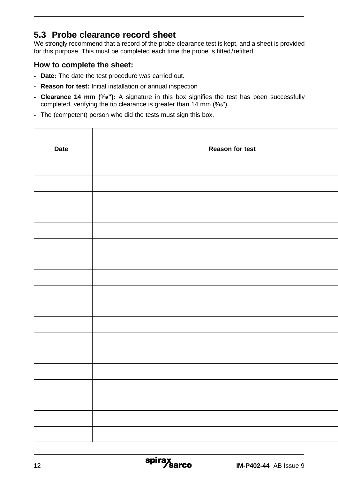## **5.3 Probe clearance record sheet**

We strongly recommend that a record of the probe clearance test is kept, and a sheet is provided for this purpose. This must be completed each time the probe is fitted/refitted.

#### **How to complete the sheet:**

- **Date:** The date the test procedure was carried out.
- **Reason for test:** Initial installation or annual inspection
- Clearance 14 mm (%<sup>8</sup>16"): A signature in this box signifies the test has been successfully completed, verifying the tip clearance is greater than  $14$  mm ( $\frac{9}{16}$ ").
- **-** The (competent) person who did the tests must sign this box.

| Date | Reason for test |  |
|------|-----------------|--|
|      |                 |  |
|      |                 |  |
|      |                 |  |
|      |                 |  |
|      |                 |  |
|      |                 |  |
|      |                 |  |
|      |                 |  |
|      |                 |  |
|      |                 |  |
|      |                 |  |
|      |                 |  |
|      |                 |  |
|      |                 |  |
|      |                 |  |
|      |                 |  |
|      |                 |  |
|      |                 |  |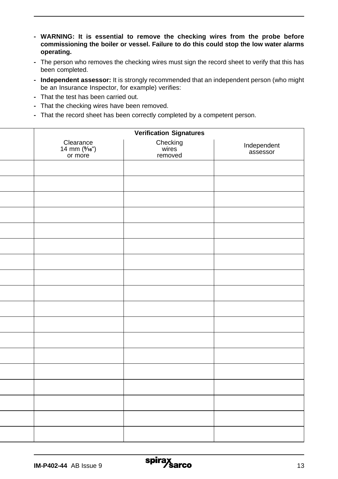- **WARNING: It is essential to remove the checking wires from the probe before commissioning the boiler or vessel. Failure to do this could stop the low water alarms operating.**
- **-** The person who removes the checking wires must sign the record sheet to verify that this has been completed.
- **Independent assessor:** It is strongly recommended that an independent person (who might be an Insurance Inspector, for example) verifies:
- **-** That the test has been carried out.
- **-** That the checking wires have been removed.
- **-** That the record sheet has been correctly completed by a competent person.

| <b>Verification Signatures</b>      |                              |                         |  |
|-------------------------------------|------------------------------|-------------------------|--|
| Clearance<br>14 mm (%e")<br>or more | Checking<br>wires<br>removed | Independent<br>assessor |  |
|                                     |                              |                         |  |
|                                     |                              |                         |  |
|                                     |                              |                         |  |
|                                     |                              |                         |  |
|                                     |                              |                         |  |
|                                     |                              |                         |  |
|                                     |                              |                         |  |
|                                     |                              |                         |  |
|                                     |                              |                         |  |
|                                     |                              |                         |  |
|                                     |                              |                         |  |
|                                     |                              |                         |  |
|                                     |                              |                         |  |
|                                     |                              |                         |  |
|                                     |                              |                         |  |
|                                     |                              |                         |  |
|                                     |                              |                         |  |
|                                     |                              |                         |  |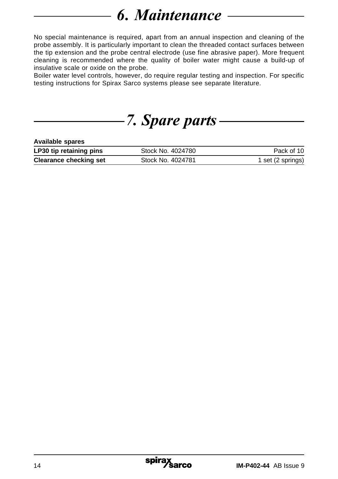## 6. Maintenance

No special maintenance is required, apart from an annual inspection and cleaning of the probe assembly. It is particularly important to clean the threaded contact surfaces between the tip extension and the probe central electrode (use fine abrasive paper). More frequent cleaning is recommended where the quality of boiler water might cause a build-up of insulative scale or oxide on the probe.

Boiler water level controls, however, do require regular testing and inspection. For specific testing instructions for Spirax Sarco systems please see separate literature.

- 7. Spare parts

| <b>Available spares</b>       |                   |                   |  |  |
|-------------------------------|-------------------|-------------------|--|--|
| LP30 tip retaining pins       | Stock No. 4024780 | Pack of 10        |  |  |
| <b>Clearance checking set</b> | Stock No. 4024781 | 1 set (2 springs) |  |  |

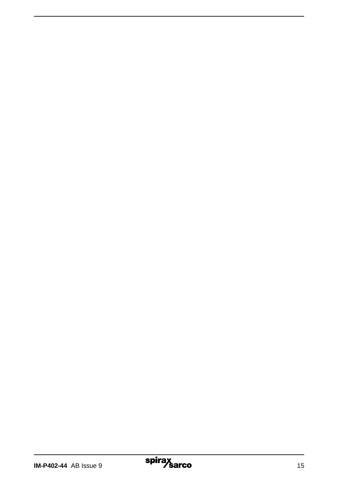